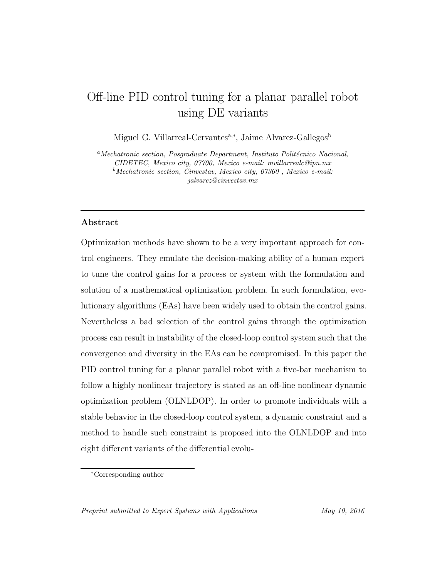# Off-line PID control tuning for a planar parallel robot<br>using DE variants using DE variants

Miguel G. Villarreal-Cervantes<sup>a,∗</sup>, Jaime Alvarez-Gallegos<sup>b</sup>

<sup>*a*</sup>*Mechatronic section, Posgraduate Department, Instituto Politécnico Nacional, CIDETEC, Mexico city, 07700, Mexico e-mail: mvillarrealc@ipn.mx <sup>b</sup>Mechatronic section, Cinvestav, Mexico city, 07360 , Mexico e-mail: jalvarez@cinvestav.mx*

## **Abstract**

Optimization methods have shown to be a very important approach for control engineers. They emulate the decision-making ability of a human expert to tune the control gains for a process or system with the formulation and solution of a mathematical optimization problem. In such formulation, evolutionary algorithms (EAs) have been widely used to obtain the control gains. Nevertheless a bad selection of the control gains through the optimization process can result in instability of the closed-loop control system such that the convergence and diversity in the EAs can be compromised. In this paper the PID control tuning for a planar parallel robot with a five-bar mechanism to follow a highly nonlinear trajectory is stated as an off-line nonlinear dynamic optimization problem (OLNLDOP). In order to promote individuals with a stable behavior in the closed-loop control system, a dynamic constraint and a method to handle such constraint is proposed into the OLNLDOP and into eight different variants of the differential evolu-

<sup>∗</sup>Corresponding author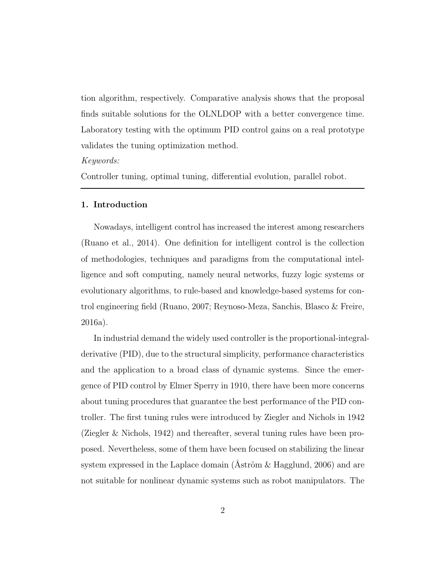tion algorithm, respectively. Comparative analysis shows that the proposal finds suitable solutions for the OLNLDOP with a better convergence time. Laboratory testing with the optimum PID control gains on a real prototype validates the tuning optimization method.

#### Keywords:

Controller tuning, optimal tuning, differential evolution, parallel robot.

### **1. Introduction**

Nowadays, intelligent control has increased the interest among researchers (Ruano et al., 2014). One definition for intelligent control is the collection of methodologies, techniques and paradigms from the computational intelligence and soft computing, namely neural networks, fuzzy logic systems or evolutionary algorithms, to rule-based and knowledge-based systems for control engineering field (Ruano, 2007; Reynoso-Meza, Sanchis, Blasco & Freire, 2016a).

In industrial demand the widely used controller is the proportional-integralderivative (PID), due to the structural simplicity, performance characteristics and the application to a broad class of dynamic systems. Since the emergence of PID control by Elmer Sperry in 1910, there have been more concerns about tuning procedures that guarantee the best performance of the PID controller. The first tuning rules were introduced by Ziegler and Nichols in 1942 (Ziegler & Nichols, 1942) and thereafter, several tuning rules have been proposed. Nevertheless, some of them have been focused on stabilizing the linear system expressed in the Laplace domain (Aström  $\&$  Hagglund, 2006) and are not suitable for nonlinear dynamic systems such as robot manipulators. The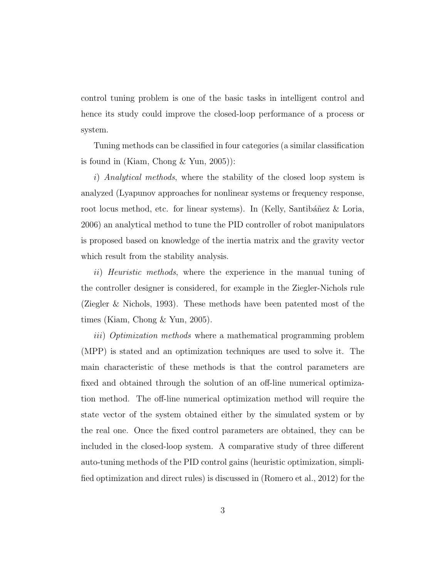control tuning problem is one of the basic tasks in intelligent control and hence its study could improve the closed-loop performance of a process or system.

Tuning methods can be classified in four categories (a similar classification is found in (Kiam, Chong  $\&$  Yun, 2005)):

i) Analytical methods, where the stability of the closed loop system is analyzed (Lyapunov approaches for nonlinear systems or frequency response, root locus method, etc. for linear systems). In (Kelly, Santibáñez & Loria, 2006) an analytical method to tune the PID controller of robot manipulators is proposed based on knowledge of the inertia matrix and the gravity vector which result from the stability analysis.

ii) Heuristic methods, where the experience in the manual tuning of the controller designer is considered, for example in the Ziegler-Nichols rule (Ziegler & Nichols, 1993). These methods have been patented most of the times (Kiam, Chong & Yun, 2005).

iii) Optimization methods where a mathematical programming problem (MPP) is stated and an optimization techniques are used to solve it. The main characteristic of these methods is that the control parameters are fixed and obtained through the solution of an off-line numerical optimization method. The off-line numerical optimization method will require the state vector of the system obtained either by the simulated system or by the real one. Once the fixed control parameters are obtained, they can be included in the closed-loop system. A comparative study of three different auto-tuning methods of the PID control gains (heuristic optimization, simplified optimization and direct rules) is discussed in (Romero et al., 2012) for the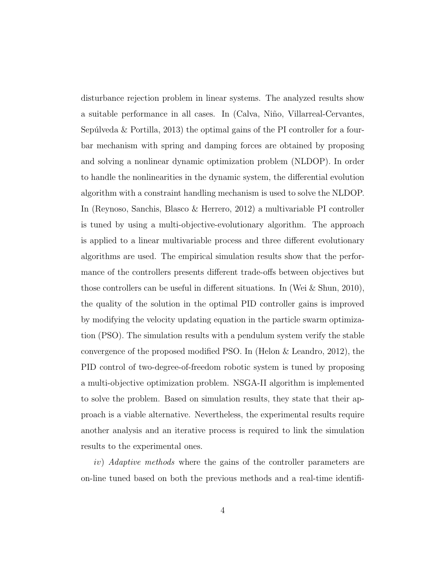disturbance rejection problem in linear systems. The analyzed results show a suitable performance in all cases. In (Calva, Niño, Villarreal-Cervantes, Sepúlveda  $\&$  Portilla, 2013) the optimal gains of the PI controller for a fourbar mechanism with spring and damping forces are obtained by proposing and solving a nonlinear dynamic optimization problem (NLDOP). In order to handle the nonlinearities in the dynamic system, the differential evolution algorithm with a constraint handling mechanism is used to solve the NLDOP. In (Reynoso, Sanchis, Blasco & Herrero, 2012) a multivariable PI controller is tuned by using a multi-objective-evolutionary algorithm. The approach is applied to a linear multivariable process and three different evolutionary algorithms are used. The empirical simulation results show that the performance of the controllers presents different trade-offs between objectives but those controllers can be useful in different situations. In (Wei & Shun, 2010), the quality of the solution in the optimal PID controller gains is improved by modifying the velocity updating equation in the particle swarm optimization (PSO). The simulation results with a pendulum system verify the stable convergence of the proposed modified PSO. In (Helon & Leandro, 2012), the PID control of two-degree-of-freedom robotic system is tuned by proposing a multi-objective optimization problem. NSGA-II algorithm is implemented to solve the problem. Based on simulation results, they state that their approach is a viable alternative. Nevertheless, the experimental results require another analysis and an iterative process is required to link the simulation results to the experimental ones.

iv) Adaptive methods where the gains of the controller parameters are on-line tuned based on both the previous methods and a real-time identifi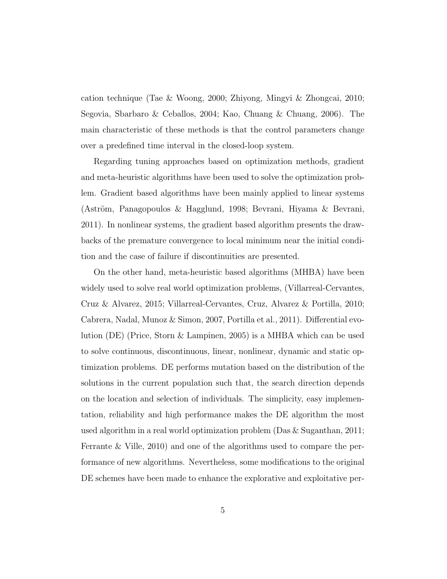cation technique (Tae & Woong, 2000; Zhiyong, Mingyi & Zhongcai, 2010; Segovia, Sbarbaro & Ceballos, 2004; Kao, Chuang & Chuang, 2006). The main characteristic of these methods is that the control parameters change over a predefined time interval in the closed-loop system.

Regarding tuning approaches based on optimization methods, gradient and meta-heuristic algorithms have been used to solve the optimization problem. Gradient based algorithms have been mainly applied to linear systems (Aström, Panagopoulos & Hagglund, 1998; Bevrani, Hiyama & Bevrani, 2011). In nonlinear systems, the gradient based algorithm presents the drawbacks of the premature convergence to local minimum near the initial condition and the case of failure if discontinuities are presented.

On the other hand, meta-heuristic based algorithms (MHBA) have been widely used to solve real world optimization problems, (Villarreal-Cervantes, Cruz & Alvarez, 2015; Villarreal-Cervantes, Cruz, Alvarez & Portilla, 2010; Cabrera, Nadal, Munoz & Simon, 2007, Portilla et al., 2011). Differential evolution (DE) (Price, Storn & Lampinen, 2005) is a MHBA which can be used to solve continuous, discontinuous, linear, nonlinear, dynamic and static optimization problems. DE performs mutation based on the distribution of the solutions in the current population such that, the search direction depends on the location and selection of individuals. The simplicity, easy implementation, reliability and high performance makes the DE algorithm the most used algorithm in a real world optimization problem (Das & Suganthan, 2011; Ferrante & Ville, 2010) and one of the algorithms used to compare the performance of new algorithms. Nevertheless, some modifications to the original DE schemes have been made to enhance the explorative and exploitative per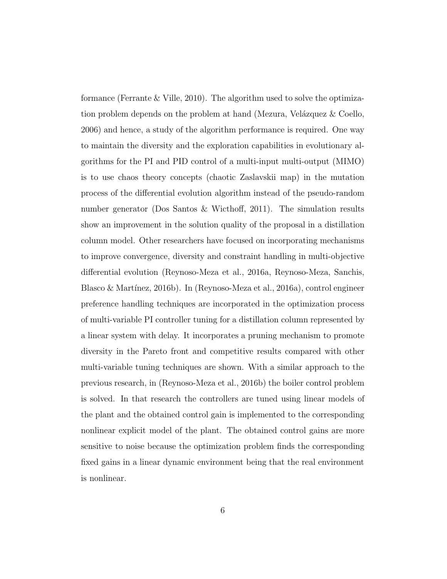formance (Ferrante & Ville, 2010). The algorithm used to solve the optimization problem depends on the problem at hand (Mezura, Velázquez  $\&$  Coello, 2006) and hence, a study of the algorithm performance is required. One way to maintain the diversity and the exploration capabilities in evolutionary algorithms for the PI and PID control of a multi-input multi-output (MIMO) is to use chaos theory concepts (chaotic Zaslavskii map) in the mutation process of the differential evolution algorithm instead of the pseudo-random number generator (Dos Santos & Wicthoff, 2011). The simulation results show an improvement in the solution quality of the proposal in a distillation column model. Other researchers have focused on incorporating mechanisms to improve convergence, diversity and constraint handling in multi-objective differential evolution (Reynoso-Meza et al., 2016a, Reynoso-Meza, Sanchis, Blasco & Martínez, 2016b). In (Reynoso-Meza et al., 2016a), control engineer preference handling techniques are incorporated in the optimization process of multi-variable PI controller tuning for a distillation column represented by a linear system with delay. It incorporates a pruning mechanism to promote diversity in the Pareto front and competitive results compared with other multi-variable tuning techniques are shown. With a similar approach to the previous research, in (Reynoso-Meza et al., 2016b) the boiler control problem is solved. In that research the controllers are tuned using linear models of the plant and the obtained control gain is implemented to the corresponding nonlinear explicit model of the plant. The obtained control gains are more sensitive to noise because the optimization problem finds the corresponding fixed gains in a linear dynamic environment being that the real environment is nonlinear.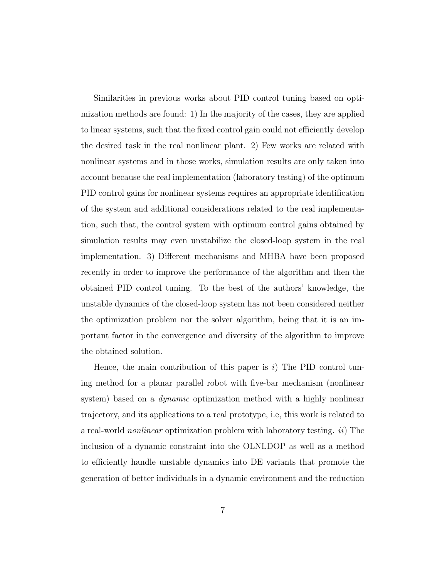Similarities in previous works about PID control tuning based on optimization methods are found: 1) In the majority of the cases, they are applied to linear systems, such that the fixed control gain could not efficiently develop the desired task in the real nonlinear plant. 2) Few works are related with nonlinear systems and in those works, simulation results are only taken into account because the real implementation (laboratory testing) of the optimum PID control gains for nonlinear systems requires an appropriate identification of the system and additional considerations related to the real implementation, such that, the control system with optimum control gains obtained by simulation results may even unstabilize the closed-loop system in the real implementation. 3) Different mechanisms and MHBA have been proposed recently in order to improve the performance of the algorithm and then the obtained PID control tuning. To the best of the authors' knowledge, the unstable dynamics of the closed-loop system has not been considered neither the optimization problem nor the solver algorithm, being that it is an important factor in the convergence and diversity of the algorithm to improve the obtained solution.

Hence, the main contribution of this paper is  $i$ ) The PID control tuning method for a planar parallel robot with five-bar mechanism (nonlinear system) based on a *dynamic* optimization method with a highly nonlinear trajectory, and its applications to a real prototype, i.e, this work is related to a real-world nonlinear optimization problem with laboratory testing. ii) The inclusion of a dynamic constraint into the OLNLDOP as well as a method to efficiently handle unstable dynamics into DE variants that promote the generation of better individuals in a dynamic environment and the reduction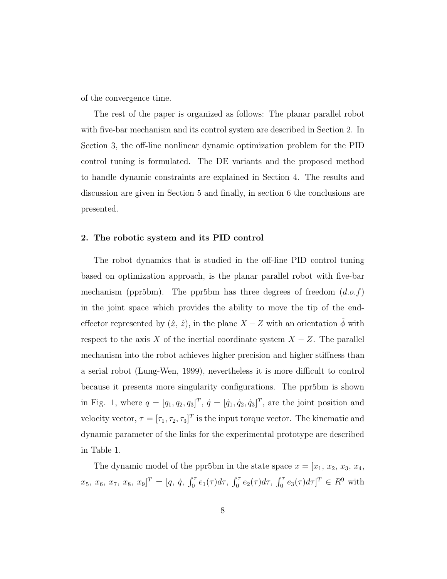of the convergence time.

The rest of the paper is organized as follows: The planar parallel robot with five-bar mechanism and its control system are described in Section 2. In Section 3, the off-line nonlinear dynamic optimization problem for the PID control tuning is formulated. The DE variants and the proposed method to handle dynamic constraints are explained in Section 4. The results and discussion are given in Section 5 and finally, in section 6 the conclusions are presented.

#### **2. The robotic system and its PID control**

The robot dynamics that is studied in the off-line PID control tuning based on optimization approach, is the planar parallel robot with five-bar mechanism (ppr5bm). The ppr5bm has three degrees of freedom  $(d.o.f)$ in the joint space which provides the ability to move the tip of the endeffector represented by  $(\hat{x}, \hat{z})$ , in the plane X – Z with an orientation  $\phi$  with respect to the axis X of the inertial coordinate system  $X - Z$ . The parallel mechanism into the robot achieves higher precision and higher stiffness than a serial robot (Lung-Wen, 1999), nevertheless it is more difficult to control because it presents more singularity configurations. The ppr5bm is shown in Fig. 1, where  $q = [q_1, q_2, q_3]^T$ ,  $\dot{q} = [\dot{q}_1, \dot{q}_2, \dot{q}_3]^T$ , are the joint position and velocity vector,  $\tau = [\tau_1, \tau_2, \tau_3]^T$  is the input torque vector. The kinematic and dynamic parameter of the links for the experimental prototype are described in Table 1.

The dynamic model of the ppr5bm in the state space  $x = [x_1, x_2, x_3, x_4,$  $(x_5, x_6, x_7, x_8, x_9]^T = [q, \dot{q}, \int_0^{\tau} e_1(\tau) d\tau, \int_0^{\tau} e_2(\tau) d\tau, \int_0^{\tau} e_3(\tau) d\tau]^T \in R^9$  with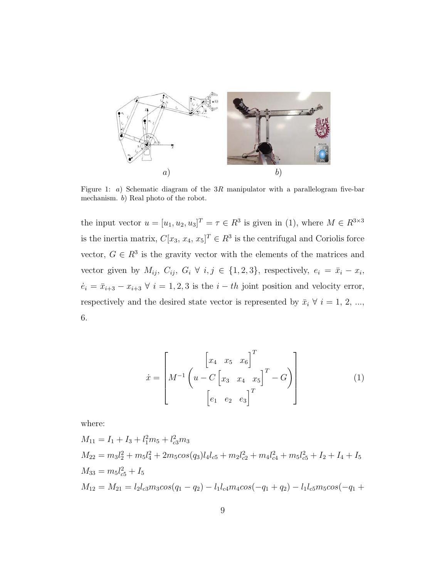

Figure 1: a) Schematic diagram of the 3R manipulator with a parallelogram five-bar mechanism. b) Real photo of the robot.

the input vector  $u = [u_1, u_2, u_3]^T = \tau \in \mathbb{R}^3$  is given in (1), where  $M \in \mathbb{R}^{3 \times 3}$ is the inertia matrix,  $C[x_3, x_4, x_5]^T \in \mathbb{R}^3$  is the centrifugal and Coriolis force vector,  $G \in \mathbb{R}^3$  is the gravity vector with the elements of the matrices and vector given by  $M_{ij}$ ,  $C_{ij}$ ,  $G_i \forall i, j \in \{1, 2, 3\}$ , respectively,  $e_i = \bar{x}_i - x_i$ ,  $\dot{e}_i = \bar{x}_{i+3} - x_{i+3} \ \forall \ i = 1, 2, 3$  is the  $i - th$  joint position and velocity error, respectively and the desired state vector is represented by  $\bar{x}_i \ \forall \ i = 1, 2, ...,$ 6.

$$
\dot{x} = \left[ M^{-1} \begin{pmatrix} x_4 & x_5 & x_6 \end{pmatrix}^T \begin{pmatrix} x_4 & x_5 & x_6 \end{pmatrix}^T - G \right] \begin{pmatrix} 1 \\ e_1 & e_2 & e_3 \end{pmatrix}
$$

where:

$$
M_{11} = I_1 + I_3 + l_1^2 m_5 + l_{c3}^2 m_3
$$
  
\n
$$
M_{22} = m_3 l_2^2 + m_5 l_4^2 + 2 m_5 cos(q_3) l_4 l_{c5} + m_2 l_{c2}^2 + m_4 l_{c4}^2 + m_5 l_{c5}^2 + I_2 + I_4 + I_5
$$
  
\n
$$
M_{33} = m_5 l_{c5}^2 + I_5
$$
  
\n
$$
M_{12} = M_{21} = l_2 l_{c3} m_3 cos(q_1 - q_2) - l_1 l_{c4} m_4 cos(-q_1 + q_2) - l_1 l_{c5} m_5 cos(-q_1 + q_2)
$$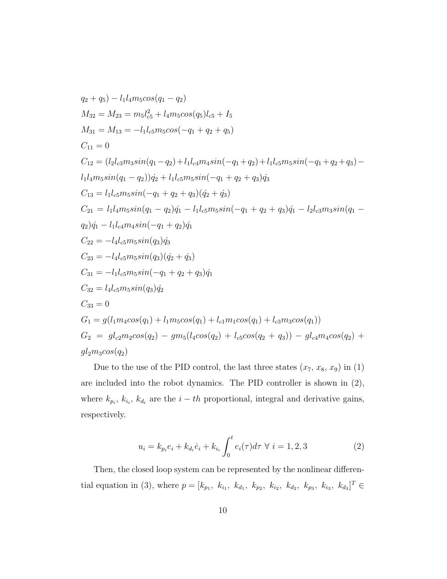$$
q_2 + q_5) - l_1 l_4 m_5 cos(q_1 - q_2)
$$
  
\n
$$
M_{32} = M_{23} = m_5 l_{c5}^2 + l_4 m_5 cos(q_5) l_{c5} + I_5
$$
  
\n
$$
M_{31} = M_{13} = -l_1 l_{c5} m_5 cos(-q_1 + q_2 + q_5)
$$
  
\n
$$
C_{11} = 0
$$
  
\n
$$
C_{12} = (l_2 l_{c3} m_3 sin(q_1 - q_2) + l_1 l_{c4} m_4 sin(-q_1 + q_2) + l_1 l_{c5} m_5 sin(-q_1 + q_2 + q_3) -
$$
  
\n
$$
l_1 l_4 m_5 sin(q_1 - q_2)) q_2 + l_1 l_{c5} m_5 sin(-q_1 + q_2 + q_3) q_3
$$
  
\n
$$
C_{13} = l_1 l_{c5} m_5 sin(-q_1 + q_2 + q_3) (q_2 + q_3)
$$
  
\n
$$
C_{21} = l_1 l_4 m_5 sin(q_1 - q_2) q_1 - l_1 l_{c5} m_5 sin(-q_1 + q_2 + q_3) q_1 - l_2 l_{c3} m_3 sin(q_1 -
$$
  
\n
$$
q_2) q_1 - l_1 l_{c4} m_4 sin(-q_1 + q_2) q_1
$$
  
\n
$$
C_{22} = -l_4 l_{c5} m_5 sin(q_3) q_3
$$
  
\n
$$
C_{23} = -l_4 l_{c5} m_5 sin(q_3) q_3
$$
  
\n
$$
C_{31} = -l_1 l_{c5} m_5 sin(q_3) q_2
$$
  
\n
$$
C_{32} = l_4 l_{c5} m_5 sin(q_3) q_2
$$
  
\n
$$
C_{33} = 0
$$
  
\n
$$
G_1 = g(l_1 m_4 cos(q_1) + l_1 m_5 cos(q_1) + l_{c1} m_1 cos(q_1) + l_{c3} m_3 cos(q_1))
$$
  
\n
$$
G_2 = g l_{c2} m_2 cos(q_2) - g m_5 (l_4 cos
$$

Due to the use of the PID control, the last three states  $(x_7, x_8, x_9)$  in (1) are included into the robot dynamics. The PID controller is shown in (2), where  $k_{p_i}$ ,  $k_{i_i}$ ,  $k_{d_i}$  are the  $i - th$  proportional, integral and derivative gains, respectively.

$$
u_i = k_{p_i} e_i + k_{d_i} \dot{e}_i + k_{i_i} \int_0^t e_i(\tau) d\tau \ \forall \ i = 1, 2, 3 \tag{2}
$$

Then, the closed loop system can be represented by the nonlinear differential equation in (3), where  $p = [k_{p_1}, k_{i_1}, k_{d_1}, k_{p_2}, k_{i_2}, k_{d_2}, k_{p_3}, k_{i_3}, k_{d_3}]^T \in$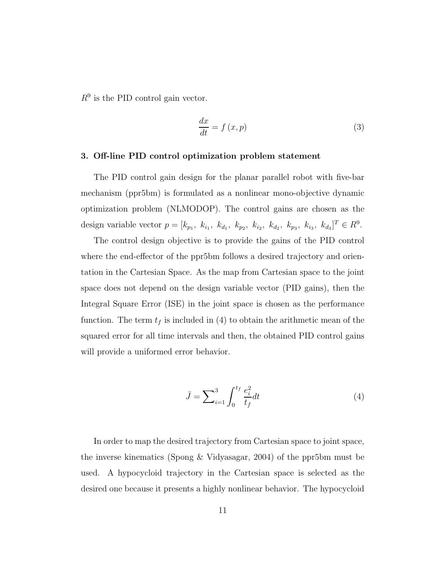$R^9$  is the PID control gain vector.

$$
\frac{dx}{dt} = f(x, p) \tag{3}
$$

#### **3. Off-line PID control optimization problem statement**

The PID control gain design for the planar parallel robot with five-bar mechanism (ppr5bm) is formulated as a nonlinear mono-objective dynamic optimization problem (NLMODOP). The control gains are chosen as the design variable vector  $p = [k_{p_1}, k_{i_1}, k_{d_1}, k_{p_2}, k_{i_2}, k_{d_2}, k_{p_3}, k_{i_3}, k_{d_3}]^T \in R^9$ .

The control design objective is to provide the gains of the PID control where the end-effector of the ppr5bm follows a desired trajectory and orientation in the Cartesian Space. As the map from Cartesian space to the joint space does not depend on the design variable vector (PID gains), then the Integral Square Error (ISE) in the joint space is chosen as the performance function. The term  $t_f$  is included in (4) to obtain the arithmetic mean of the squared error for all time intervals and then, the obtained PID control gains will provide a uniformed error behavior.

$$
\bar{J} = \sum_{i=1}^{3} \int_{0}^{t_f} \frac{e_i^2}{t_f} dt
$$
 (4)

In order to map the desired trajectory from Cartesian space to joint space, the inverse kinematics (Spong & Vidyasagar, 2004) of the ppr5bm must be used. A hypocycloid trajectory in the Cartesian space is selected as the desired one because it presents a highly nonlinear behavior. The hypocycloid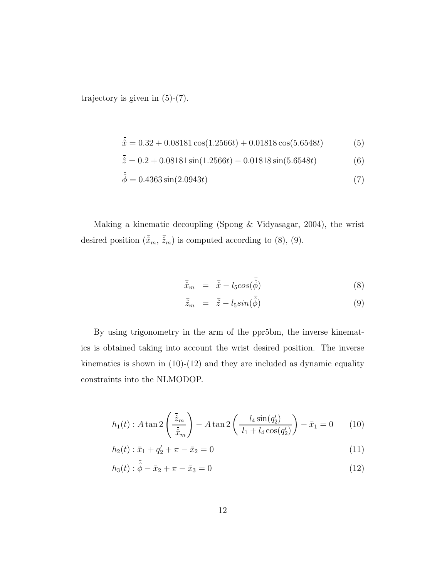trajectory is given in  $(5)-(7)$ .

$$
\hat{x} = 0.32 + 0.08181 \cos(1.2566t) + 0.01818 \cos(5.6548t)
$$
 (5)

$$
\hat{z} = 0.2 + 0.08181 \sin(1.2566t) - 0.01818 \sin(5.6548t)
$$
 (6)

$$
\hat{\phi} = 0.4363 \sin(2.0943t) \tag{7}
$$

Making a kinematic decoupling (Spong & Vidyasagar, 2004), the wrist desired position  $(\bar{\hat{x}}_m, \bar{\hat{z}}_m)$  is computed according to (8), (9).

$$
\bar{\hat{x}}_m = \bar{\hat{x}} - l_5 \cos(\bar{\hat{\phi}}) \tag{8}
$$

$$
\bar{\hat{z}}_m = \bar{\hat{z}} - l_5 \sin(\bar{\hat{\phi}}) \tag{9}
$$

By using trigonometry in the arm of the ppr5bm, the inverse kinematics is obtained taking into account the wrist desired position. The inverse kinematics is shown in  $(10)-(12)$  and they are included as dynamic equality constraints into the NLMODOP.

$$
h_1(t) : A \tan 2\left(\frac{\bar{z}_m}{\bar{x}_m}\right) - A \tan 2\left(\frac{l_4 \sin(q'_2)}{l_1 + l_4 \cos(q'_2)}\right) - \bar{x}_1 = 0 \quad (10)
$$

$$
h_2(t): \bar{x}_1 + q_2' + \pi - \bar{x}_2 = 0 \tag{11}
$$

$$
h_3(t): \hat{\phi} - \bar{x}_2 + \pi - \bar{x}_3 = 0 \tag{12}
$$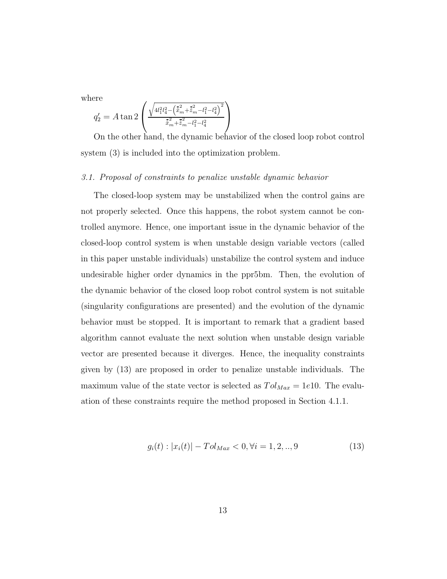where

$$
q_2' = A \tan 2 \left( \frac{\sqrt{4l_1^2 l_4^2 - (\tilde{x}_m^2 + \tilde{z}_m^2 - l_1^2 - l_4^2)}^2}{\tilde{x}_m^2 + \tilde{z}_m^2 - l_1^2 - l_4^2} \right)
$$

On the other hand, the dynamic behavior of the closed loop robot control system (3) is included into the optimization problem.

#### 3.1. Proposal of constraints to penalize unstable dynamic behavior

The closed-loop system may be unstabilized when the control gains are not properly selected. Once this happens, the robot system cannot be controlled anymore. Hence, one important issue in the dynamic behavior of the closed-loop control system is when unstable design variable vectors (called in this paper unstable individuals) unstabilize the control system and induce undesirable higher order dynamics in the ppr5bm. Then, the evolution of the dynamic behavior of the closed loop robot control system is not suitable (singularity configurations are presented) and the evolution of the dynamic behavior must be stopped. It is important to remark that a gradient based algorithm cannot evaluate the next solution when unstable design variable vector are presented because it diverges. Hence, the inequality constraints given by (13) are proposed in order to penalize unstable individuals. The maximum value of the state vector is selected as  $T_{\text{o}}l_{\text{Max}} = 1e10$ . The evaluation of these constraints require the method proposed in Section 4.1.1.

$$
g_i(t) : |x_i(t)| - Tol_{Max} < 0, \forall i = 1, 2, \dots, 9 \tag{13}
$$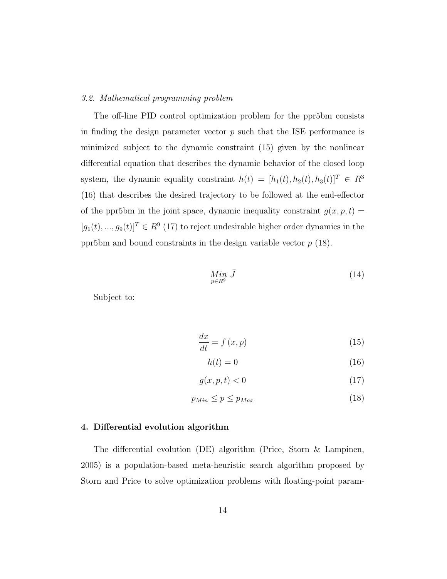#### 3.2. Mathematical programming problem

The off-line PID control optimization problem for the ppr5bm consists in finding the design parameter vector  $p$  such that the ISE performance is minimized subject to the dynamic constraint (15) given by the nonlinear differential equation that describes the dynamic behavior of the closed loop system, the dynamic equality constraint  $h(t)=[h_1(t), h_2(t), h_3(t)]^T \in R^3$ (16) that describes the desired trajectory to be followed at the end-effector of the ppr5bm in the joint space, dynamic inequality constraint  $g(x, p, t) =$  $[g_1(t),...,g_9(t)]^T \in R^9$  (17) to reject undesirable higher order dynamics in the ppr5bm and bound constraints in the design variable vector  $p(18)$ .

$$
\underset{p\in R^9}{Min} \bar{J} \tag{14}
$$

Subject to:

$$
\frac{dx}{dt} = f(x, p) \tag{15}
$$

$$
h(t) = 0 \tag{16}
$$

$$
g(x, p, t) < 0 \tag{17}
$$

$$
p_{Min} \le p \le p_{Max} \tag{18}
$$

#### **4. Differential evolution algorithm**

The differential evolution (DE) algorithm (Price, Storn & Lampinen, 2005) is a population-based meta-heuristic search algorithm proposed by Storn and Price to solve optimization problems with floating-point param-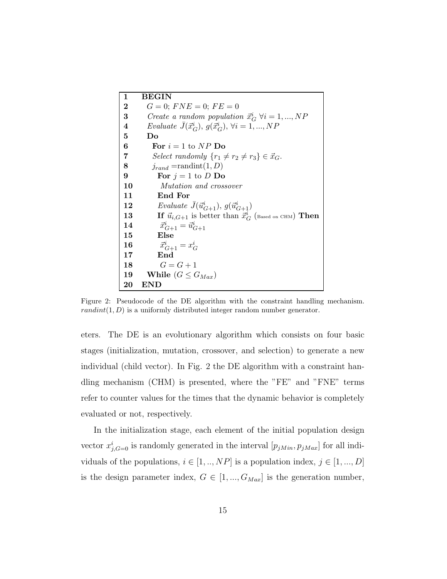| 1                       | <b>BEGIN</b>                                                          |
|-------------------------|-----------------------------------------------------------------------|
| $\bf{2}$                | $G = 0$ ; $FNE = 0$ ; $FE = 0$                                        |
| 3                       | Create a random population $\vec{x}_G^i$ $\forall i = 1, , NP$        |
| $\overline{\mathbf{4}}$ | Evaluate $\bar{J}(\vec{x}_G^i), g(\vec{x}_G^i), \forall i = 1, , NP$  |
| 5                       | Do                                                                    |
| 6                       | For $i=1$ to $NP$ Do                                                  |
| 7                       | Select randomly $\{r_1 \neq r_2 \neq r_3\} \in \vec{x}_G$ .           |
| 8                       | $j_{rand} = \text{randint}(1, D)$                                     |
| 9                       | For $j = 1$ to D Do                                                   |
| 10                      | Mutation and crossover                                                |
| 11                      | End For                                                               |
| 12                      | Evaluate $J(\vec{u}^i_{G+1}), g(\vec{u}^i_{G+1})$                     |
| 13                      | If $\vec{u}_{i,G+1}$ is better than $\vec{x}_G^i$ (Based on CHM) Then |
| 14                      | $\vec{x}_{G+1}^i = \vec{u}_{G+1}^i$                                   |
| 15                      | Else                                                                  |
| 16                      | $\vec{x}_{G+1}^i = x_G^i$                                             |
| 17                      | End                                                                   |
| 18                      | $G=G+1$                                                               |
| 19                      | While $(G \leq G_{Max})$                                              |
| 20                      | $\mathop{\rm END}$                                                    |

Figure 2: Pseudocode of the DE algorithm with the constraint handling mechanism.  $randint(1, D)$  is a uniformly distributed integer random number generator.

eters. The DE is an evolutionary algorithm which consists on four basic stages (initialization, mutation, crossover, and selection) to generate a new individual (child vector). In Fig. 2 the DE algorithm with a constraint handling mechanism (CHM) is presented, where the "FE" and "FNE" terms refer to counter values for the times that the dynamic behavior is completely evaluated or not, respectively.

In the initialization stage, each element of the initial population design vector  $x_{i,G=0}^i$  is randomly generated in the interval  $[p_{jMin}, p_{jMax}]$  for all individuals of the populations,  $i \in [1, ..., NP]$  is a population index,  $j \in [1, ..., D]$ is the design parameter index,  $G \in [1, ..., G_{Max}]$  is the generation number,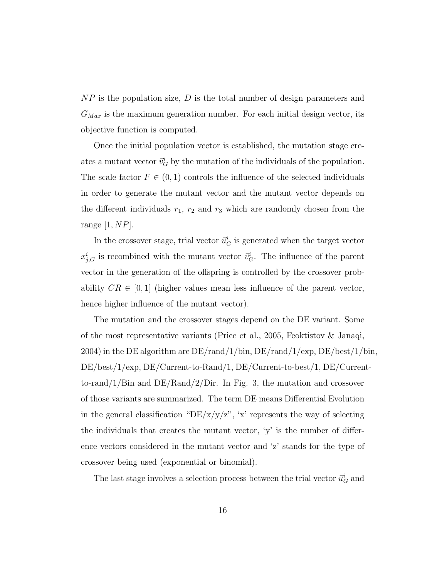$NP$  is the population size, D is the total number of design parameters and  $G_{Max}$  is the maximum generation number. For each initial design vector, its objective function is computed.

Once the initial population vector is established, the mutation stage creates a mutant vector  $\vec{v}_G^i$  by the mutation of the individuals of the population. The scale factor  $F \in (0, 1)$  controls the influence of the selected individuals in order to generate the mutant vector and the mutant vector depends on the different individuals  $r_1$ ,  $r_2$  and  $r_3$  which are randomly chosen from the range  $[1, NP]$ .

In the crossover stage, trial vector  $\vec{u}_G^i$  is generated when the target vector  $x_{i,G}^i$  is recombined with the mutant vector  $\vec{v}_G^i$ . The influence of the parent vector in the generation of the offspring is controlled by the crossover probability  $CR \in [0, 1]$  (higher values mean less influence of the parent vector, hence higher influence of the mutant vector).

The mutation and the crossover stages depend on the DE variant. Some of the most representative variants (Price et al., 2005, Feoktistov & Janaqi, 2004) in the DE algorithm are DE/rand/1/bin, DE/rand/1/exp, DE/best/1/bin, DE/best/1/exp, DE/Current-to-Rand/1, DE/Current-to-best/1, DE/Currentto-rand/1/Bin and DE/Rand/2/Dir. In Fig. 3, the mutation and crossover of those variants are summarized. The term DE means Differential Evolution in the general classification "DE/x/y/z", 'x' represents the way of selecting the individuals that creates the mutant vector, 'y' is the number of difference vectors considered in the mutant vector and 'z' stands for the type of crossover being used (exponential or binomial).

The last stage involves a selection process between the trial vector  $\vec{u}_G^i$  and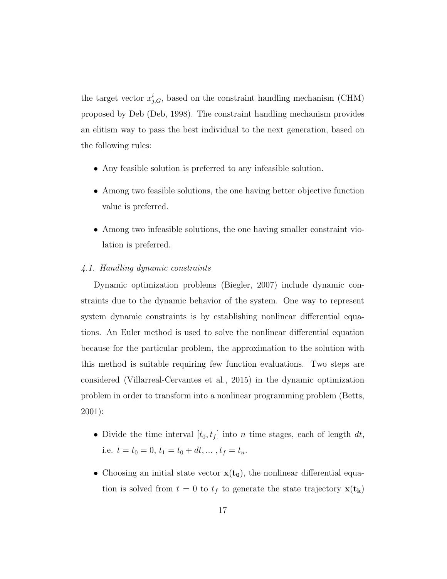the target vector  $x_{i,G}^i$ , based on the constraint handling mechanism (CHM) proposed by Deb (Deb, 1998). The constraint handling mechanism provides an elitism way to pass the best individual to the next generation, based on the following rules:

- Any feasible solution is preferred to any infeasible solution.
- Among two feasible solutions, the one having better objective function value is preferred.
- Among two infeasible solutions, the one having smaller constraint violation is preferred.

#### 4.1. Handling dynamic constraints

Dynamic optimization problems (Biegler, 2007) include dynamic constraints due to the dynamic behavior of the system. One way to represent system dynamic constraints is by establishing nonlinear differential equations. An Euler method is used to solve the nonlinear differential equation because for the particular problem, the approximation to the solution with this method is suitable requiring few function evaluations. Two steps are considered (Villarreal-Cervantes et al., 2015) in the dynamic optimization problem in order to transform into a nonlinear programming problem (Betts, 2001):

- Divide the time interval  $[t_0, t_f]$  into n time stages, each of length dt, i.e.  $t = t_0 = 0, t_1 = t_0 + dt, \dots, t_f = t_n$ .
- Choosing an initial state vector  $\mathbf{x}(\mathbf{t_0})$ , the nonlinear differential equation is solved from  $t = 0$  to  $t_f$  to generate the state trajectory  $\mathbf{x}(t_k)$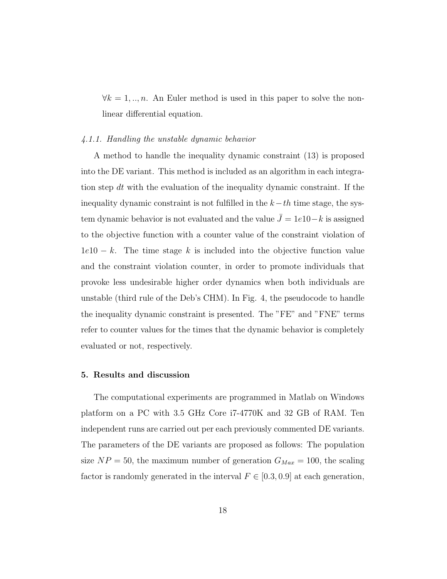$\forall k = 1, ..., n$ . An Euler method is used in this paper to solve the nonlinear differential equation.

#### 4.1.1. Handling the unstable dynamic behavior

A method to handle the inequality dynamic constraint (13) is proposed into the DE variant. This method is included as an algorithm in each integration step dt with the evaluation of the inequality dynamic constraint. If the inequality dynamic constraint is not fulfilled in the  $k-th$  time stage, the system dynamic behavior is not evaluated and the value  $\bar{J} = 1e10 - k$  is assigned to the objective function with a counter value of the constraint violation of  $1e10 - k$ . The time stage k is included into the objective function value and the constraint violation counter, in order to promote individuals that provoke less undesirable higher order dynamics when both individuals are unstable (third rule of the Deb's CHM). In Fig. 4, the pseudocode to handle the inequality dynamic constraint is presented. The "FE" and "FNE" terms refer to counter values for the times that the dynamic behavior is completely evaluated or not, respectively.

#### **5. Results and discussion**

The computational experiments are programmed in Matlab on Windows platform on a PC with 3.5 GHz Core i7-4770K and 32 GB of RAM. Ten independent runs are carried out per each previously commented DE variants. The parameters of the DE variants are proposed as follows: The population size  $NP = 50$ , the maximum number of generation  $G_{Max} = 100$ , the scaling factor is randomly generated in the interval  $F \in [0.3, 0.9]$  at each generation,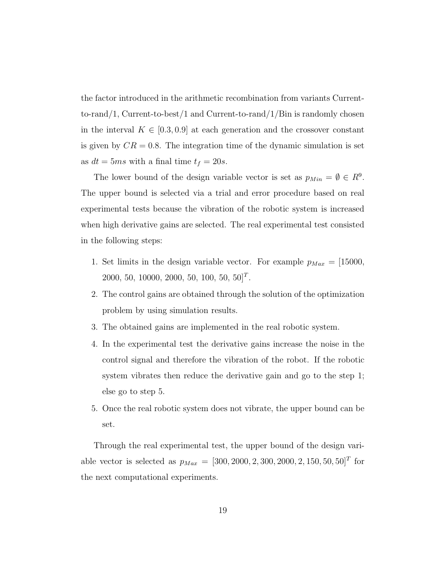the factor introduced in the arithmetic recombination from variants Currentto-rand/1, Current-to-best/1 and Current-to-rand/1/Bin is randomly chosen in the interval  $K \in [0.3, 0.9]$  at each generation and the crossover constant is given by  $CR = 0.8$ . The integration time of the dynamic simulation is set as  $dt = 5ms$  with a final time  $t_f = 20s$ .

The lower bound of the design variable vector is set as  $p_{Min} = \emptyset \in R^9$ . The upper bound is selected via a trial and error procedure based on real experimental tests because the vibration of the robotic system is increased when high derivative gains are selected. The real experimental test consisted in the following steps:

- 1. Set limits in the design variable vector. For example  $p_{Max} = [15000,$ 2000, 50, 10000, 2000, 50, 100, 50, 50]<sup>T</sup>.
- 2. The control gains are obtained through the solution of the optimization problem by using simulation results.
- 3. The obtained gains are implemented in the real robotic system.
- 4. In the experimental test the derivative gains increase the noise in the control signal and therefore the vibration of the robot. If the robotic system vibrates then reduce the derivative gain and go to the step 1; else go to step 5.
- 5. Once the real robotic system does not vibrate, the upper bound can be set.

Through the real experimental test, the upper bound of the design variable vector is selected as  $p_{Max} = [300, 2000, 2, 300, 2000, 2, 150, 50, 50]^T$  for the next computational experiments.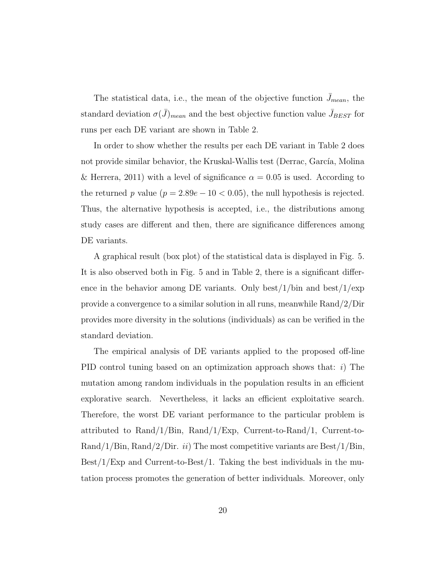The statistical data, i.e., the mean of the objective function  $\bar{J}_{mean}$ , the standard deviation  $\sigma(\bar{J})_{mean}$  and the best objective function value  $\bar{J}_{BEST}$  for runs per each DE variant are shown in Table 2.

In order to show whether the results per each DE variant in Table 2 does not provide similar behavior, the Kruskal-Wallis test (Derrac, García, Molina & Herrera, 2011) with a level of significance  $\alpha = 0.05$  is used. According to the returned p value ( $p = 2.89e - 10 < 0.05$ ), the null hypothesis is rejected. Thus, the alternative hypothesis is accepted, i.e., the distributions among study cases are different and then, there are significance differences among DE variants.

A graphical result (box plot) of the statistical data is displayed in Fig. 5. It is also observed both in Fig. 5 and in Table 2, there is a significant difference in the behavior among DE variants. Only best/ $1/b$ in and best/ $1/e$ xp provide a convergence to a similar solution in all runs, meanwhile Rand/2/Dir provides more diversity in the solutions (individuals) as can be verified in the standard deviation.

The empirical analysis of DE variants applied to the proposed off-line PID control tuning based on an optimization approach shows that:  $i$ ) The mutation among random individuals in the population results in an efficient explorative search. Nevertheless, it lacks an efficient exploitative search. Therefore, the worst DE variant performance to the particular problem is attributed to Rand/1/Bin, Rand/1/Exp, Current-to-Rand/1, Current-to-Rand/1/Bin, Rand/2/Dir. ii) The most competitive variants are Best/1/Bin, Best/1/Exp and Current-to-Best/1. Taking the best individuals in the mutation process promotes the generation of better individuals. Moreover, only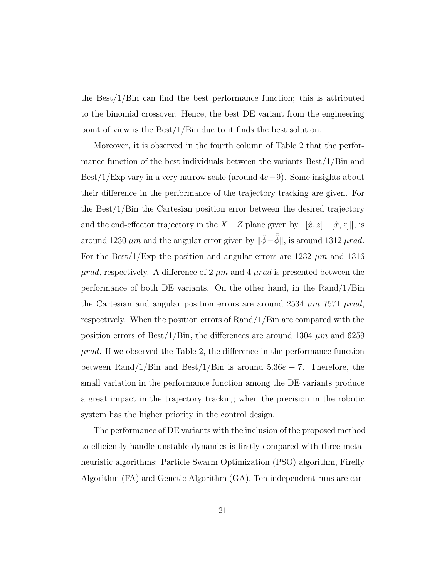the Best/1/Bin can find the best performance function; this is attributed to the binomial crossover. Hence, the best DE variant from the engineering point of view is the Best/1/Bin due to it finds the best solution.

Moreover, it is observed in the fourth column of Table 2 that the performance function of the best individuals between the variants Best/1/Bin and Best/1/Exp vary in a very narrow scale (around  $4e-9$ ). Some insights about their difference in the performance of the trajectory tracking are given. For the Best/1/Bin the Cartesian position error between the desired trajectory and the end-effector trajectory in the  $X - Z$  plane given by  $\|[\hat{x}, \tilde{z}] - [\bar{\hat{x}}, \bar{\hat{z}}]\|$ , is around 1230  $\mu$ m and the angular error given by  $\|\hat{\phi}-\bar{\hat{\phi}}\|$ , is around 1312  $\mu$ rad. For the Best/1/Exp the position and angular errors are 1232  $\mu$ m and 1316  $\mu rad$ , respectively. A difference of 2  $\mu m$  and 4  $\mu rad$  is presented between the performance of both DE variants. On the other hand, in the Rand/1/Bin the Cartesian and angular position errors are around 2534  $\mu$ m 7571  $\mu$ rad, respectively. When the position errors of Rand/1/Bin are compared with the position errors of Best/1/Bin, the differences are around 1304  $\mu$ m and 6259  $\mu rad$ . If we observed the Table 2, the difference in the performance function between Rand/1/Bin and Best/1/Bin is around  $5.36e - 7$ . Therefore, the small variation in the performance function among the DE variants produce a great impact in the trajectory tracking when the precision in the robotic system has the higher priority in the control design.

The performance of DE variants with the inclusion of the proposed method to efficiently handle unstable dynamics is firstly compared with three metaheuristic algorithms: Particle Swarm Optimization (PSO) algorithm, Firefly Algorithm (FA) and Genetic Algorithm (GA). Ten independent runs are car-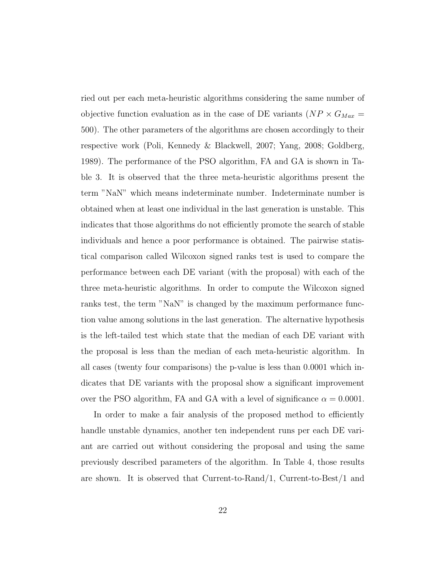ried out per each meta-heuristic algorithms considering the same number of objective function evaluation as in the case of DE variants ( $NP \times G_{Max}$  = 500). The other parameters of the algorithms are chosen accordingly to their respective work (Poli, Kennedy & Blackwell, 2007; Yang, 2008; Goldberg, 1989). The performance of the PSO algorithm, FA and GA is shown in Table 3. It is observed that the three meta-heuristic algorithms present the term "NaN" which means indeterminate number. Indeterminate number is obtained when at least one individual in the last generation is unstable. This indicates that those algorithms do not efficiently promote the search of stable individuals and hence a poor performance is obtained. The pairwise statistical comparison called Wilcoxon signed ranks test is used to compare the performance between each DE variant (with the proposal) with each of the three meta-heuristic algorithms. In order to compute the Wilcoxon signed ranks test, the term "NaN" is changed by the maximum performance function value among solutions in the last generation. The alternative hypothesis is the left-tailed test which state that the median of each DE variant with the proposal is less than the median of each meta-heuristic algorithm. In all cases (twenty four comparisons) the p-value is less than 0.0001 which indicates that DE variants with the proposal show a significant improvement over the PSO algorithm, FA and GA with a level of significance  $\alpha = 0.0001$ .

In order to make a fair analysis of the proposed method to efficiently handle unstable dynamics, another ten independent runs per each DE variant are carried out without considering the proposal and using the same previously described parameters of the algorithm. In Table 4, those results are shown. It is observed that Current-to-Rand/1, Current-to-Best/1 and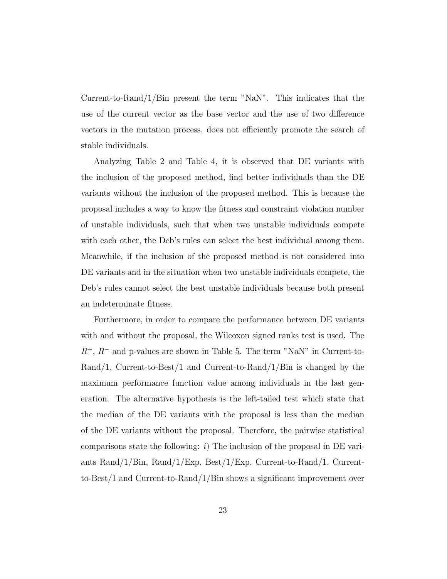Current-to-Rand/1/Bin present the term "NaN". This indicates that the use of the current vector as the base vector and the use of two difference vectors in the mutation process, does not efficiently promote the search of stable individuals.

Analyzing Table 2 and Table 4, it is observed that DE variants with the inclusion of the proposed method, find better individuals than the DE variants without the inclusion of the proposed method. This is because the proposal includes a way to know the fitness and constraint violation number of unstable individuals, such that when two unstable individuals compete with each other, the Deb's rules can select the best individual among them. Meanwhile, if the inclusion of the proposed method is not considered into DE variants and in the situation when two unstable individuals compete, the Deb's rules cannot select the best unstable individuals because both present an indeterminate fitness.

Furthermore, in order to compare the performance between DE variants with and without the proposal, the Wilcoxon signed ranks test is used. The  $R^+$ ,  $R^-$  and p-values are shown in Table 5. The term "NaN" in Current-to-Rand/1, Current-to-Best/1 and Current-to-Rand/1/Bin is changed by the maximum performance function value among individuals in the last generation. The alternative hypothesis is the left-tailed test which state that the median of the DE variants with the proposal is less than the median of the DE variants without the proposal. Therefore, the pairwise statistical comparisons state the following:  $i$ ) The inclusion of the proposal in DE variants Rand/1/Bin, Rand/1/Exp, Best/1/Exp, Current-to-Rand/1, Currentto-Best/1 and Current-to-Rand/1/Bin shows a significant improvement over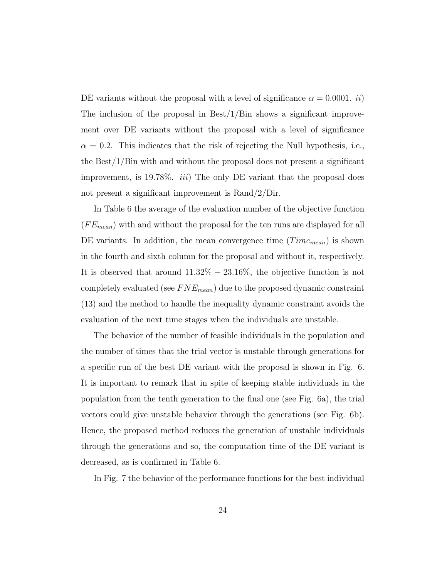DE variants without the proposal with a level of significance  $\alpha = 0.0001$ . *ii*) The inclusion of the proposal in  $\text{Best}/1/\text{Bin}$  shows a significant improvement over DE variants without the proposal with a level of significance  $\alpha = 0.2$ . This indicates that the risk of rejecting the Null hypothesis, i.e., the Best/1/Bin with and without the proposal does not present a significant improvement, is 19.78%. *iii*) The only DE variant that the proposal does not present a significant improvement is Rand/2/Dir.

In Table 6 the average of the evaluation number of the objective function  $(FE_{mean})$  with and without the proposal for the ten runs are displayed for all DE variants. In addition, the mean convergence time  $(Time_{mean})$  is shown in the fourth and sixth column for the proposal and without it, respectively. It is observed that around  $11.32\% - 23.16\%$ , the objective function is not completely evaluated (see  $FNE_{mean}$ ) due to the proposed dynamic constraint (13) and the method to handle the inequality dynamic constraint avoids the evaluation of the next time stages when the individuals are unstable.

The behavior of the number of feasible individuals in the population and the number of times that the trial vector is unstable through generations for a specific run of the best DE variant with the proposal is shown in Fig. 6. It is important to remark that in spite of keeping stable individuals in the population from the tenth generation to the final one (see Fig. 6a), the trial vectors could give unstable behavior through the generations (see Fig. 6b). Hence, the proposed method reduces the generation of unstable individuals through the generations and so, the computation time of the DE variant is decreased, as is confirmed in Table 6.

In Fig. 7 the behavior of the performance functions for the best individual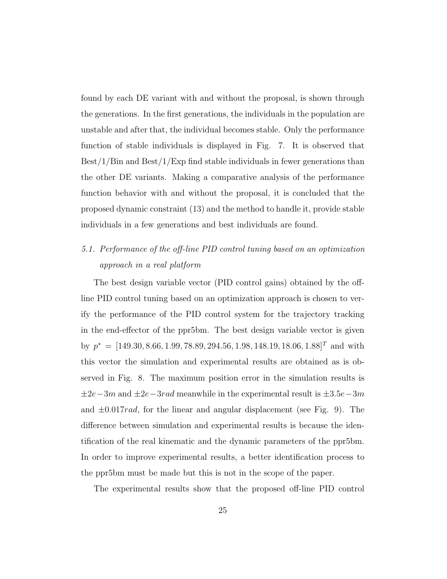found by each DE variant with and without the proposal, is shown through the generations. In the first generations, the individuals in the population are unstable and after that, the individual becomes stable. Only the performance function of stable individuals is displayed in Fig. 7. It is observed that Best/1/Bin and Best/1/Exp find stable individuals in fewer generations than the other DE variants. Making a comparative analysis of the performance function behavior with and without the proposal, it is concluded that the proposed dynamic constraint (13) and the method to handle it, provide stable individuals in a few generations and best individuals are found.

# 5.1. Performance of the off-line PID control tuning based on an optimization approach in a real platform

The best design variable vector (PID control gains) obtained by the offline PID control tuning based on an optimization approach is chosen to verify the performance of the PID control system for the trajectory tracking in the end-effector of the ppr5bm. The best design variable vector is given by  $p^* = [149.30, 8.66, 1.99, 78.89, 294.56, 1.98, 148.19, 18.06, 1.88]^T$  and with this vector the simulation and experimental results are obtained as is observed in Fig. 8. The maximum position error in the simulation results is  $\pm 2e-3m$  and  $\pm 2e-3rad$  meanwhile in the experimental result is  $\pm 3.5e-3m$ and  $\pm 0.017 \, rad$ , for the linear and angular displacement (see Fig. 9). The difference between simulation and experimental results is because the identification of the real kinematic and the dynamic parameters of the ppr5bm. In order to improve experimental results, a better identification process to the ppr5bm must be made but this is not in the scope of the paper.

The experimental results show that the proposed off-line PID control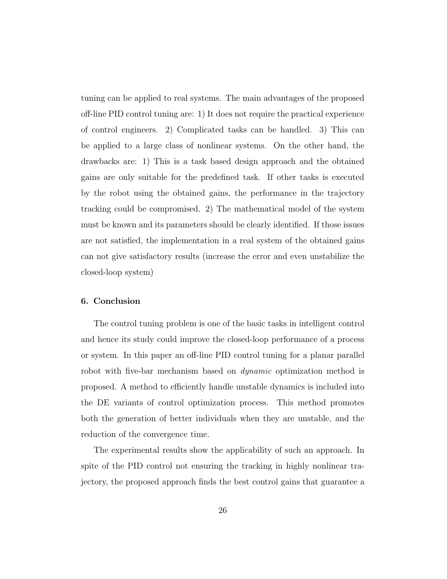tuning can be applied to real systems. The main advantages of the proposed off-line PID control tuning are: 1) It does not require the practical experience of control engineers. 2) Complicated tasks can be handled. 3) This can be applied to a large class of nonlinear systems. On the other hand, the drawbacks are: 1) This is a task based design approach and the obtained gains are only suitable for the predefined task. If other tasks is executed by the robot using the obtained gains, the performance in the trajectory tracking could be compromised. 2) The mathematical model of the system must be known and its parameters should be clearly identified. If those issues are not satisfied, the implementation in a real system of the obtained gains can not give satisfactory results (increase the error and even unstabilize the closed-loop system)

#### **6. Conclusion**

The control tuning problem is one of the basic tasks in intelligent control and hence its study could improve the closed-loop performance of a process or system. In this paper an off-line PID control tuning for a planar parallel robot with five-bar mechanism based on *dynamic* optimization method is proposed. A method to efficiently handle unstable dynamics is included into the DE variants of control optimization process. This method promotes both the generation of better individuals when they are unstable, and the reduction of the convergence time.

The experimental results show the applicability of such an approach. In spite of the PID control not ensuring the tracking in highly nonlinear trajectory, the proposed approach finds the best control gains that guarantee a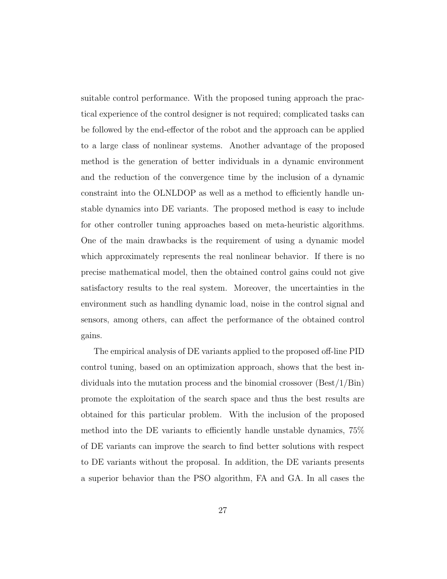suitable control performance. With the proposed tuning approach the practical experience of the control designer is not required; complicated tasks can be followed by the end-effector of the robot and the approach can be applied to a large class of nonlinear systems. Another advantage of the proposed method is the generation of better individuals in a dynamic environment and the reduction of the convergence time by the inclusion of a dynamic constraint into the OLNLDOP as well as a method to efficiently handle unstable dynamics into DE variants. The proposed method is easy to include for other controller tuning approaches based on meta-heuristic algorithms. One of the main drawbacks is the requirement of using a dynamic model which approximately represents the real nonlinear behavior. If there is no precise mathematical model, then the obtained control gains could not give satisfactory results to the real system. Moreover, the uncertainties in the environment such as handling dynamic load, noise in the control signal and sensors, among others, can affect the performance of the obtained control gains.

The empirical analysis of DE variants applied to the proposed off-line PID control tuning, based on an optimization approach, shows that the best individuals into the mutation process and the binomial crossover (Best/1/Bin) promote the exploitation of the search space and thus the best results are obtained for this particular problem. With the inclusion of the proposed method into the DE variants to efficiently handle unstable dynamics, 75% of DE variants can improve the search to find better solutions with respect to DE variants without the proposal. In addition, the DE variants presents a superior behavior than the PSO algorithm, FA and GA. In all cases the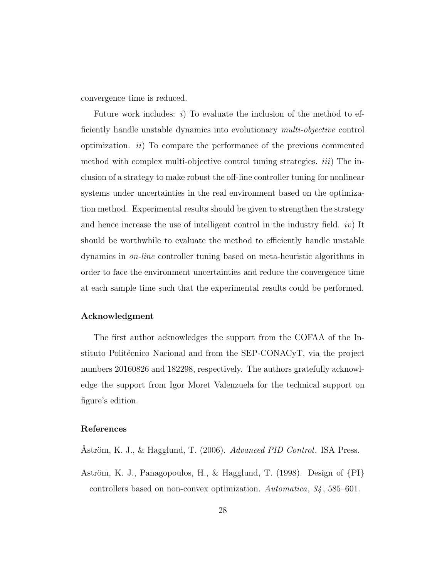convergence time is reduced.

Future work includes:  $i$ ) To evaluate the inclusion of the method to efficiently handle unstable dynamics into evolutionary multi-objective control optimization.  $ii)$  To compare the performance of the previous commented method with complex multi-objective control tuning strategies.  $iii)$  The inclusion of a strategy to make robust the off-line controller tuning for nonlinear systems under uncertainties in the real environment based on the optimization method. Experimental results should be given to strengthen the strategy and hence increase the use of intelligent control in the industry field.  $iv$  It should be worthwhile to evaluate the method to efficiently handle unstable dynamics in on-line controller tuning based on meta-heuristic algorithms in order to face the environment uncertainties and reduce the convergence time at each sample time such that the experimental results could be performed.

#### **Acknowledgment**

The first author acknowledges the support from the COFAA of the Instituto Politécnico Nacional and from the SEP-CONACyT, via the project numbers 20160826 and 182298, respectively. The authors gratefully acknowledge the support from Igor Moret Valenzuela for the technical support on figure's edition.

#### **References**

Åström, K. J., & Hagglund, T. (2006). Advanced PID Control. ISA Press.

Aström, K. J., Panagopoulos, H., & Hagglund, T. (1998). Design of  $\{PI\}$ controllers based on non-convex optimization. Automatica, 34, 585–601.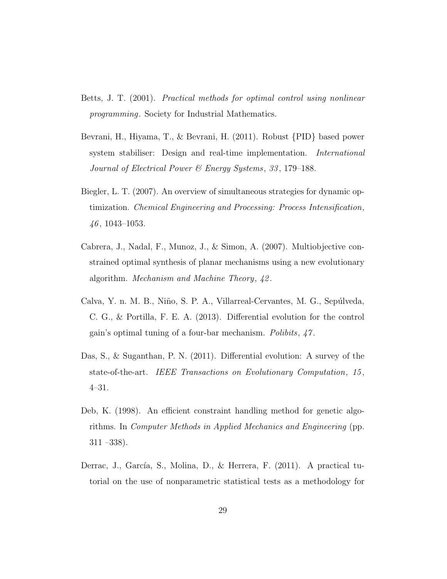- Betts, J. T. (2001). Practical methods for optimal control using nonlinear programming. Society for Industrial Mathematics.
- Bevrani, H., Hiyama, T., & Bevrani, H. (2011). Robust {PID} based power system stabiliser: Design and real-time implementation. International Journal of Electrical Power & Energy Systems, 33 , 179–188.
- Biegler, L. T. (2007). An overview of simultaneous strategies for dynamic optimization. Chemical Engineering and Processing: Process Intensification,  $46, 1043 - 1053.$
- Cabrera, J., Nadal, F., Munoz, J., & Simon, A. (2007). Multiobjective constrained optimal synthesis of planar mechanisms using a new evolutionary algorithm. Mechanism and Machine Theory, 42 .
- Calva, Y. n. M. B., Niño, S. P. A., Villarreal-Cervantes, M. G., Sepúlveda, C. G., & Portilla, F. E. A. (2013). Differential evolution for the control gain's optimal tuning of a four-bar mechanism. Polibits, 47 .
- Das, S., & Suganthan, P. N. (2011). Differential evolution: A survey of the state-of-the-art. IEEE Transactions on Evolutionary Computation, 15, 4–31.
- Deb, K. (1998). An efficient constraint handling method for genetic algorithms. In Computer Methods in Applied Mechanics and Engineering (pp. 311 –338).
- Derrac, J., García, S., Molina, D., & Herrera, F. (2011). A practical tutorial on the use of nonparametric statistical tests as a methodology for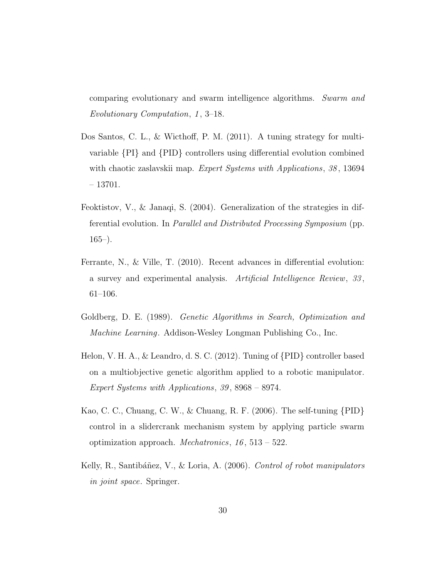comparing evolutionary and swarm intelligence algorithms. Swarm and Evolutionary Computation, 1, 3–18.

- Dos Santos, C. L., & Wicthoff, P. M. (2011). A tuning strategy for multivariable {PI} and {PID} controllers using differential evolution combined with chaotic zaslavskii map. Expert Systems with Applications, 38, 13694 – 13701.
- Feoktistov, V., & Janaqi, S. (2004). Generalization of the strategies in differential evolution. In Parallel and Distributed Processing Symposium (pp.  $165-$ ).
- Ferrante, N., & Ville, T. (2010). Recent advances in differential evolution: a survey and experimental analysis. Artificial Intelligence Review, 33 , 61–106.
- Goldberg, D. E. (1989). Genetic Algorithms in Search, Optimization and Machine Learning. Addison-Wesley Longman Publishing Co., Inc.
- Helon, V. H. A., & Leandro, d. S. C. (2012). Tuning of {PID} controller based on a multiobjective genetic algorithm applied to a robotic manipulator. Expert Systems with Applications, 39 , 8968 – 8974.
- Kao, C. C., Chuang, C. W., & Chuang, R. F. (2006). The self-tuning {PID} control in a slidercrank mechanism system by applying particle swarm optimization approach. *Mechatronics*,  $16$ ,  $513 - 522$ .
- Kelly, R., Santibáñez, V., & Loria, A. (2006). Control of robot manipulators in joint space. Springer.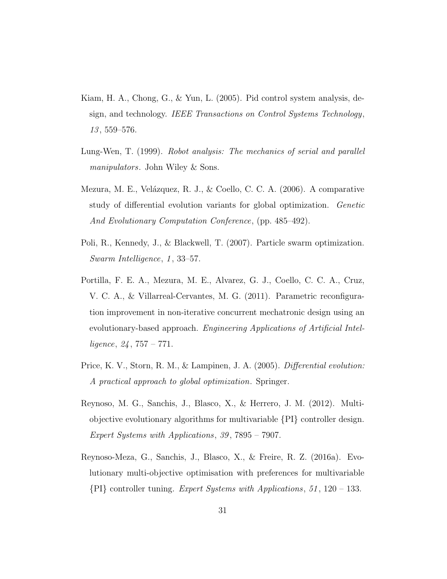- Kiam, H. A., Chong, G., & Yun, L. (2005). Pid control system analysis, design, and technology. IEEE Transactions on Control Systems Technology,  $13, 559 - 576.$
- Lung-Wen, T. (1999). Robot analysis: The mechanics of serial and parallel manipulators. John Wiley & Sons.
- Mezura, M. E., Velázquez, R. J., & Coello, C. C. A. (2006). A comparative study of differential evolution variants for global optimization. Genetic And Evolutionary Computation Conference, (pp. 485–492).
- Poli, R., Kennedy, J., & Blackwell, T. (2007). Particle swarm optimization. Swarm Intelligence, 1, 33–57.
- Portilla, F. E. A., Mezura, M. E., Alvarez, G. J., Coello, C. C. A., Cruz, V. C. A., & Villarreal-Cervantes, M. G. (2011). Parametric reconfiguration improvement in non-iterative concurrent mechatronic design using an evolutionary-based approach. Engineering Applications of Artificial Intelligence,  $24$ ,  $757 - 771$ .
- Price, K. V., Storn, R. M., & Lampinen, J. A. (2005). Differential evolution: A practical approach to global optimization. Springer.
- Reynoso, M. G., Sanchis, J., Blasco, X., & Herrero, J. M. (2012). Multiobjective evolutionary algorithms for multivariable {PI} controller design. Expert Systems with Applications, 39 , 7895 – 7907.
- Reynoso-Meza, G., Sanchis, J., Blasco, X., & Freire, R. Z. (2016a). Evolutionary multi-objective optimisation with preferences for multivariable  ${P1}$  controller tuning. Expert Systems with Applications, 51, 120 – 133.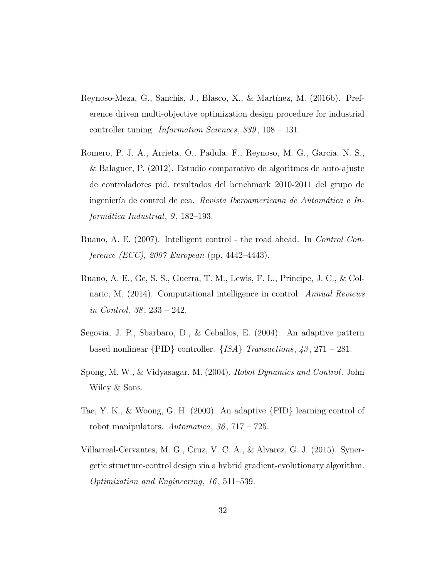- Reynoso-Meza, G., Sanchis, J., Blasco, X., & Martínez, M. (2016b). Preference driven multi-objective optimization design procedure for industrial controller tuning. *Information Sciences*, 339, 108 – 131.
- Romero, P. J. A., Arrieta, O., Padula, F., Reynoso, M. G., Garcia, N. S., & Balaguer, P. (2012). Estudio comparativo de algoritmos de auto-ajuste de controladores pid. resultados del benchmark 2010-2011 del grupo de ingeniería de control de cea. Revista Iberoamericana de Automática e Informática Industrial,  $9, 182-193$ .
- Ruano, A. E. (2007). Intelligent control the road ahead. In Control Conference (ECC), 2007 European (pp. 4442–4443).
- Ruano, A. E., Ge, S. S., Guerra, T. M., Lewis, F. L., Principe, J. C., & Colnaric, M. (2014). Computational intelligence in control. Annual Reviews in Control, 38 , 233 – 242.
- Segovia, J. P., Sbarbaro, D., & Ceballos, E. (2004). An adaptive pattern based nonlinear  $\{PID\}$  controller.  $\{ISA\}$  Transactions, 43, 271 – 281.
- Spong, M. W., & Vidyasagar, M. (2004). Robot Dynamics and Control. John Wiley & Sons.
- Tae, Y. K., & Woong, G. H. (2000). An adaptive {PID} learning control of robot manipulators. Automatica,  $36, 717 - 725$ .
- Villarreal-Cervantes, M. G., Cruz, V. C. A., & Alvarez, G. J. (2015). Synergetic structure-control design via a hybrid gradient-evolutionary algorithm. Optimization and Engineering, 16 , 511–539.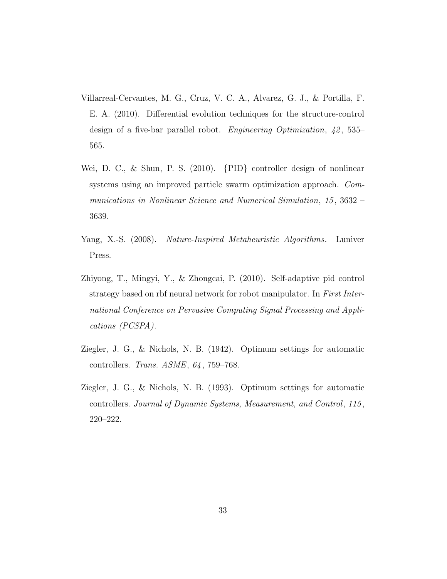- Villarreal-Cervantes, M. G., Cruz, V. C. A., Alvarez, G. J., & Portilla, F. E. A. (2010). Differential evolution techniques for the structure-control design of a five-bar parallel robot. *Engineering Optimization*, 42, 535– 565.
- Wei, D. C., & Shun, P. S. (2010). {PID} controller design of nonlinear systems using an improved particle swarm optimization approach. Communications in Nonlinear Science and Numerical Simulation, 15, 3632 – 3639.
- Yang, X.-S. (2008). Nature-Inspired Metaheuristic Algorithms. Luniver Press.
- Zhiyong, T., Mingyi, Y., & Zhongcai, P. (2010). Self-adaptive pid control strategy based on rbf neural network for robot manipulator. In First International Conference on Pervasive Computing Signal Processing and Applications (PCSPA).
- Ziegler, J. G., & Nichols, N. B. (1942). Optimum settings for automatic controllers. Trans. ASME, 64 , 759–768.
- Ziegler, J. G., & Nichols, N. B. (1993). Optimum settings for automatic controllers. Journal of Dynamic Systems, Measurement, and Control, 115 , 220–222.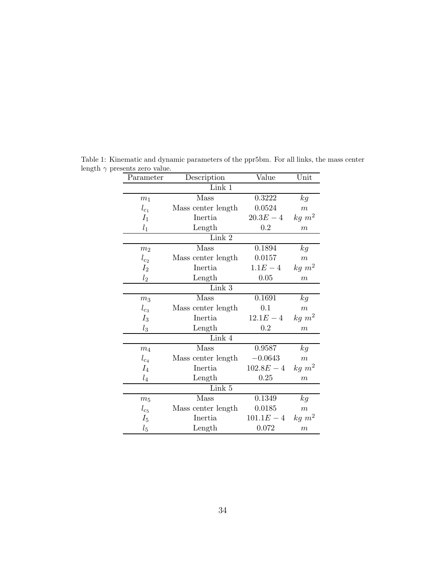| Parameter      | Description        | Value        | Unit             |  |  |  |  |
|----------------|--------------------|--------------|------------------|--|--|--|--|
| Link 1         |                    |              |                  |  |  |  |  |
| m <sub>1</sub> | Mass               | 0.3222       | kg               |  |  |  |  |
| $l_{c_1}$      | Mass center length | 0.0524       | $\boldsymbol{m}$ |  |  |  |  |
| $I_1$          | Inertia            | $20.3E - 4$  | $kg \ m^2$       |  |  |  |  |
| $l_1$          | Length             | 0.2          | $\boldsymbol{m}$ |  |  |  |  |
|                | Link 2             |              |                  |  |  |  |  |
| m <sub>2</sub> | Mass               | 0.1894       | kg               |  |  |  |  |
| $l_{c_2}$      | Mass center length | 0.0157       | $\boldsymbol{m}$ |  |  |  |  |
| $I_{2}$        | Inertia            | $1.1E - 4$   | $kg \; m^2$      |  |  |  |  |
| l <sub>2</sub> | Length             | 0.05         | $\boldsymbol{m}$ |  |  |  |  |
|                | Link 3             |              |                  |  |  |  |  |
| m <sub>3</sub> | Mass               | 0.1691       | kg               |  |  |  |  |
| $l_{c_3}$      | Mass center length | 0.1          | $\boldsymbol{m}$ |  |  |  |  |
| $I_3$          | Inertia            | $12.1E - 4$  | $kg \; m^2$      |  |  |  |  |
| $l_3$          | Length             | 0.2          | m                |  |  |  |  |
| Link 4         |                    |              |                  |  |  |  |  |
| m <sub>4</sub> | Mass               | 0.9587       | kg               |  |  |  |  |
| $l_{c_4}$      | Mass center length | $-0.0643$    | $\boldsymbol{m}$ |  |  |  |  |
| $I_4$          | Inertia            | $102.8E - 4$ | $kg \ m^2$       |  |  |  |  |
| $l_4$          | Length             | 0.25         | $\boldsymbol{m}$ |  |  |  |  |
| Link 5         |                    |              |                  |  |  |  |  |
| m <sub>5</sub> | Mass               | 0.1349       | kg               |  |  |  |  |
| $l_{c_5}$      | Mass center length | 0.0185       | $\boldsymbol{m}$ |  |  |  |  |
| $I_5$          | Inertia            | $101.1E - 4$ | $kg \ m^2$       |  |  |  |  |
| $l_5$          | Length             | 0.072        | $\boldsymbol{m}$ |  |  |  |  |

Table 1: Kinematic and dynamic parameters of the ppr5bm. For all links, the mass center length  $\gamma$  presents zero value.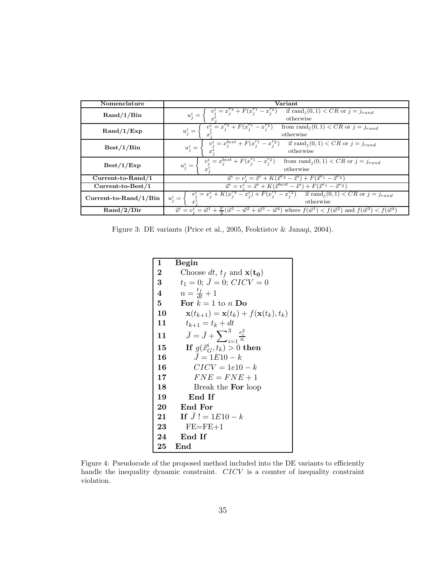| Nomenclature                                                                                                            | Variant                                                                                                                                                            |  |  |  |  |
|-------------------------------------------------------------------------------------------------------------------------|--------------------------------------------------------------------------------------------------------------------------------------------------------------------|--|--|--|--|
| $\text{Rand}/1/\text{Bin}$                                                                                              | if rand $i(0,1) < CR$ or $j = j_{rand}$<br>$v_i^i = x_i^{\prime}$ <sup>3</sup> +<br>$- x_i^2$<br>$u^i_j =$<br>otherwise                                            |  |  |  |  |
| $\text{Rand}/1/\text{Exp}$                                                                                              | from rand $_i(0,1) < CR$ or $j = j_{rand}$<br>$v_j^i = x_j^{r_3} + F(x_j^{r_1} - x_j^{r_2})$<br>$u^i_j =$<br>otherwise                                             |  |  |  |  |
| Best/1/Bin                                                                                                              | $v_j^i = x_j^{best} + F(x_j^{r_1} - x_j^{r_2})$<br>if rand $j(0,1)$ < CR or $j = j_{rand}$<br>$u^i_j =$<br>otherwise                                               |  |  |  |  |
| Best/1/Exp                                                                                                              | $v_j^i = x_j^{best} + F(x_j^{r_1} - x_j^{r_2})$<br>from $\text{rand}_j(0,1) < CR$ or $j = j_{rand}$<br>$u_i^i =$<br>otherwise                                      |  |  |  |  |
| Current-to-Rand/1                                                                                                       | $\vec{u}^i = v^i_i = \vec{x}^i + K(\vec{x}^{r_3} - \vec{x}^i) + F(\vec{x}^{r_1} - \vec{x}^{r_2})$                                                                  |  |  |  |  |
| $\vec{u}^i = v^i = \vec{x}^i + K(\vec{x}^{best} - \vec{x}^i) + F(\vec{x}^{r_1} - \vec{x}^{r_2})$<br>$Current-to-Best/1$ |                                                                                                                                                                    |  |  |  |  |
| $Current-to-Rand/1/Bin$                                                                                                 | $v_j^i = x_j^i + K(x_j^{r_3} - x_j^i) + F(x_j^{r_1} - x_j^{r_2})$ if $\text{rand}_j(0,1) < CR$ or $j = j_{rand}$<br>$u_i^i = \left\langle$<br>otherwise            |  |  |  |  |
| $\mathrm{Rand}/2/\mathrm{Dir}$                                                                                          | $\vec{u}^i = v_i^i = \vec{w}^1 + \frac{F}{2}(\vec{w}^1 - \vec{w}^2 + \vec{w}^3 - \vec{w}^4)$ where $f(\vec{w}^1) < f(\vec{w}^2)$ and $f(\vec{w}^3) < f(\vec{w}^4)$ |  |  |  |  |

Figure 3: DE variants (Price et al., 2005, Feoktistov & Janaqi, 2004).

| 1         | Begin                                                             |
|-----------|-------------------------------------------------------------------|
| $\bf{2}$  | Choose dt, $t_f$ and $\mathbf{x(t_0)}$                            |
| $\bf{3}$  | $t_1 = 0; J = 0; CICV = 0$                                        |
| 4         | $n=\frac{t_f}{dt}+1$                                              |
| 5         | For $k = 1$ to n Do                                               |
| 10        | $\mathbf{x}(t_{k+1}) = \mathbf{x}(t_k) + f(\mathbf{x}(t_k), t_k)$ |
| 11        | $t_{k+1} = t_k + dt$                                              |
| 11        | $\bar{J} = \bar{J} + \sum_{i=1}^{3} \frac{e_i^2}{n}$              |
| 15        | If $g(\vec{x}_G^i, t_k) > 0$ then                                 |
| 16        | $J = 1E10 - k$                                                    |
| 16        | $CICV = 1e10 - k$                                                 |
| $17\,$    | $FNE = FNE + 1$                                                   |
| 18        | Break the <b>For</b> loop                                         |
| 19        | End If                                                            |
| 20        | End For                                                           |
| 21        | If $J! = 1E10 - k$                                                |
| $\bf 23$  | $FE = FE + 1$                                                     |
| $\bf{24}$ | End If                                                            |
| 25        | End                                                               |

Figure 4: Pseudocode of the proposed method included into the DE variants to efficiently handle the inequality dynamic constraint. CICV is a counter of inequality constraint violation.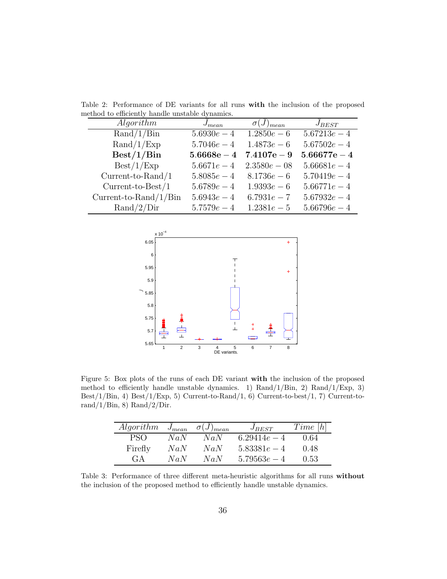Table 2: Performance of DE variants for all runs **with** the inclusion of the proposed method to efficiently handle unstable dynamics.

| Algorithm                  | $J_{mean}$    | $\sigma(J)_{mean}$ | $J_{BEST}$     |
|----------------------------|---------------|--------------------|----------------|
| $\text{Rand}/1/\text{Bin}$ | $5.6930e-4$   | $1.2850e-6$        | $5.67213e - 4$ |
| $\text{Rand}/1/\text{Exp}$ | $5.7046e - 4$ | $1.4873e-6$        | $5.67502e-4$   |
| Best/1/Bin                 | $5.6668e - 4$ | $7.4107e - 9$      | $5.66677e - 4$ |
| Best/1/Exp                 | $5.6671e - 4$ | $2.3580e - 08$     | $5.66681e - 4$ |
| $Current-to-Rand/1$        | $5.8085e-4$   | $8.1736e-6$        | $5.70419e - 4$ |
| $Current-to-Best/1$        | $5.6789e-4$   | $1.9393e-6$        | $5.66771e - 4$ |
| Current-to-Rand/ $1/B$ in  | $5.6943e - 4$ | $6.7931e - 7$      | $5.67932e-4$   |
| $\text{Rand}/2/\text{Dir}$ | $5.7579e - 4$ | $1.2381e-5$        | $5.66796e - 4$ |



Figure 5: Box plots of the runs of each DE variant **with** the inclusion of the proposed method to efficiently handle unstable dynamics. 1) Rand/1/Bin, 2) Rand/1/Exp, 3) Best/1/Bin, 4) Best/1/Exp, 5) Current-to-Rand/1, 6) Current-to-best/1, 7) Current-torand/ $1/B$ in, 8) Rand/ $2/D$ ir.

| Algorithm | $J_{mean}$ | $\sigma(J)_{mean}$ | $J_{BEST}$     | Time[h] |
|-----------|------------|--------------------|----------------|---------|
|           | NaN        | NaN                | 6.29414 $e-4$  | 0.64    |
| Firefly   | NaN        | NaN                | $5.83381e - 4$ | 0.48    |
| $G-A$     | NaN        | NaN                | $5.79563e - 4$ | 0.53    |

Table 3: Performance of three different meta-heuristic algorithms for all runs **without** the inclusion of the proposed method to efficiently handle unstable dynamics.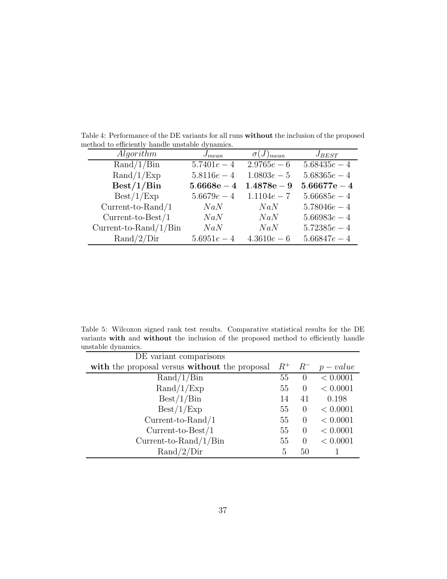| сеной то списилиту папите инзеарте иупанноз. |               |                    |                |
|----------------------------------------------|---------------|--------------------|----------------|
| Algorithm                                    | $J_{mean}$    | $\sigma(J)_{mean}$ | $J_{BEST}$     |
| $\text{Rand}/1/\text{Bin}$                   | $5.7401e - 4$ | $2.9765e-6$        | $5.68435e - 4$ |
| $\text{Rand}/1/\text{Exp}$                   | $5.8116e - 4$ | $1.0803e-5$        | $5.68365e-4$   |
| Best/1/Bin                                   | $5.6668e - 4$ | $1.4878e - 9$      | $5.66677e - 4$ |
| Best/1/Exp                                   | $5.6679e - 4$ | $1.1104e - 7$      | $5.66685e-4$   |
| $Current-to-Rand/1$                          | NaN           | NaN                | $5.78046e - 4$ |
| $Current-to-Best/1$                          | NaN           | NaN                | $5.66983e - 4$ |
| Current-to-Rand/ $1/B$ in                    | NaN           | NaN                | $5.72385e-4$   |
| $\text{Rand}/2/\text{Dir}$                   | $5.6951e - 4$ | $4.3610e-6$        | $5.66847e - 4$ |

Table 4: Performance of the DE variants for all runs **without** the inclusion of the proposed method to efficiently handle unstable dynamics.

Table 5: Wilcoxon signed rank test results. Comparative statistical results for the DE variants **with** and **without** the inclusion of the proposed method to efficiently handle unstable dynamics.

| DE variant comparisons                        |       |          |           |
|-----------------------------------------------|-------|----------|-----------|
| with the proposal versus without the proposal | $R^+$ | $R^-$    | $p-value$ |
| $\text{Rand}/1/\text{Bin}$                    | 55    | $\theta$ | < 0.0001  |
| $\text{Rand}/1/\text{Exp}$                    | 55    | $\theta$ | < 0.0001  |
| Best/1/Bin                                    | 14    | 41       | 0.198     |
| Best/1/Exp                                    | 55    | $\theta$ | < 0.0001  |
| $Current-to-Rand/1$                           | 55    | $\theta$ | < 0.0001  |
| $Current-to-Best/1$                           | 55    | $\Omega$ | < 0.0001  |
| Current-to-Rand/ $1/B$ in                     | 55    | $\Omega$ | < 0.0001  |
| $\text{Rand}/2/\text{Dir}$                    | 5     | 50       |           |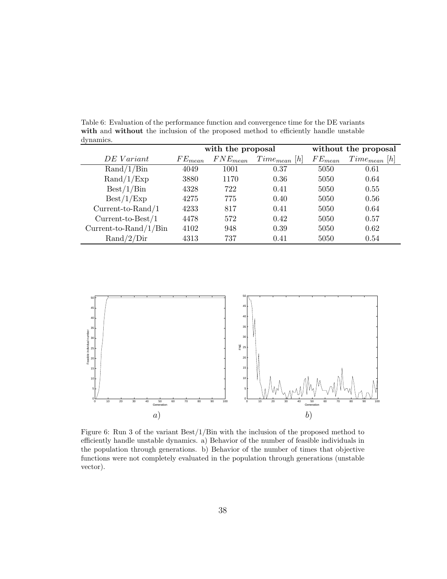Table 6: Evaluation of the performance function and convergence time for the DE variants **with** and **without** the inclusion of the proposed method to efficiently handle unstable dynamics.

|                            | with the proposal |              |                      |             | without the proposal |
|----------------------------|-------------------|--------------|----------------------|-------------|----------------------|
| DE Variant                 | $FE_{mean}$       | $FNE_{mean}$ | [h]<br>$Time_{mean}$ | $FE_{mean}$ | $Time_{mean}$ [h]    |
| $\text{Rand}/1/\text{Bin}$ | 4049              | 1001         | 0.37                 | 5050        | 0.61                 |
| $\text{Rand}/1/\text{Exp}$ | 3880              | 1170         | 0.36                 | 5050        | 0.64                 |
| Best/1/Bin                 | 4328              | 722          | 0.41                 | 5050        | 0.55                 |
| Best/1/Exp                 | 4275              | 775          | 0.40                 | 5050        | 0.56                 |
| $Current-to-Rand/1$        | 4233              | 817          | 0.41                 | 5050        | 0.64                 |
| $Current-to-Best/1$        | 4478              | 572          | 0.42                 | 5050        | 0.57                 |
| Current-to-Rand/ $1/B$ in  | 4102              | 948          | 0.39                 | 5050        | 0.62                 |
| $\text{Rand}/2/\text{Dir}$ | 4313              | 737          | 0.41                 | 5050        | 0.54                 |



Figure 6: Run 3 of the variant Best/1/Bin with the inclusion of the proposed method to efficiently handle unstable dynamics. a) Behavior of the number of feasible individuals in the population through generations. b) Behavior of the number of times that objective functions were not completely evaluated in the population through generations (unstable vector).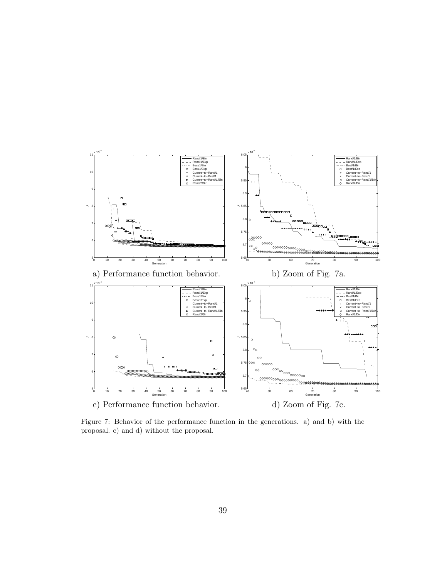

Figure 7: Behavior of the performance function in the generations. a) and b) with the proposal. c) and d) without the proposal.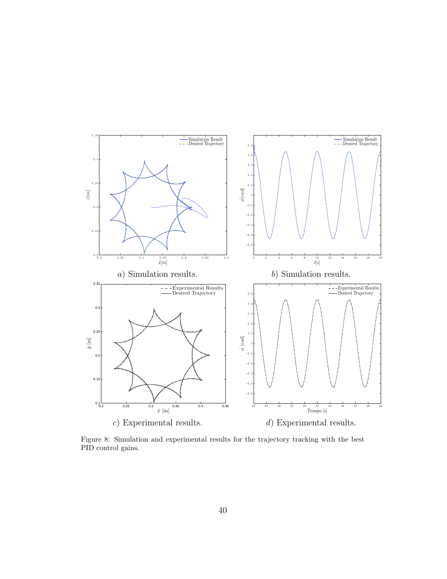

Figure 8: Simulation and experimental results for the trajectory tracking with the best PID control gains.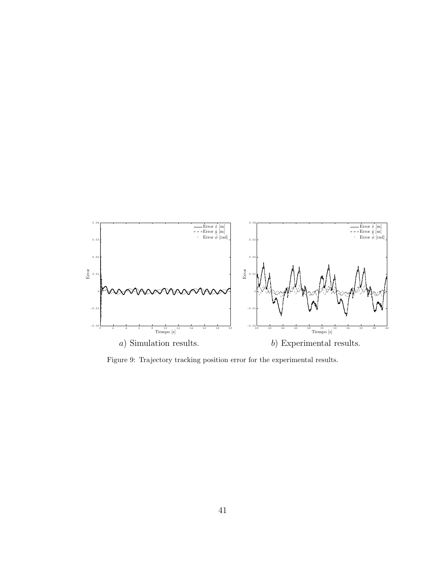

Figure 9: Trajectory tracking position error for the experimental results.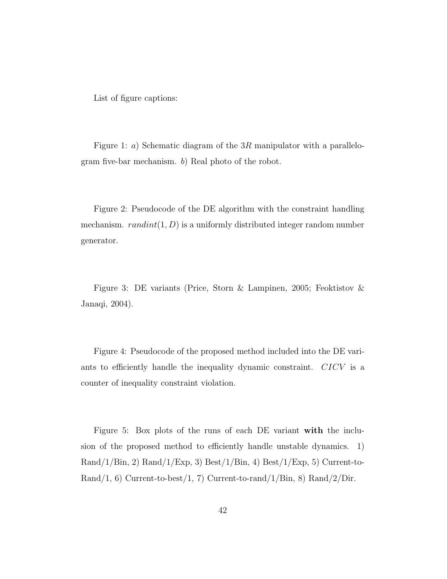List of figure captions:

Figure 1: a) Schematic diagram of the  $3R$  manipulator with a parallelogram five-bar mechanism. b) Real photo of the robot.

Figure 2: Pseudocode of the DE algorithm with the constraint handling mechanism.  $randint(1, D)$  is a uniformly distributed integer random number generator.

Figure 3: DE variants (Price, Storn & Lampinen, 2005; Feoktistov & Janaqi, 2004).

Figure 4: Pseudocode of the proposed method included into the DE variants to efficiently handle the inequality dynamic constraint. CICV is a counter of inequality constraint violation.

Figure 5: Box plots of the runs of each DE variant **with** the inclusion of the proposed method to efficiently handle unstable dynamics. 1)  $\text{Rand}/1/\text{Bin}, 2)$   $\text{Rand}/1/\text{Exp}, 3)$   $\text{Best}/1/\text{Bin}, 4)$   $\text{Best}/1/\text{Exp}, 5)$  Current-to-Rand/1, 6) Current-to-best/1, 7) Current-to-rand/1/Bin, 8) Rand/2/Dir.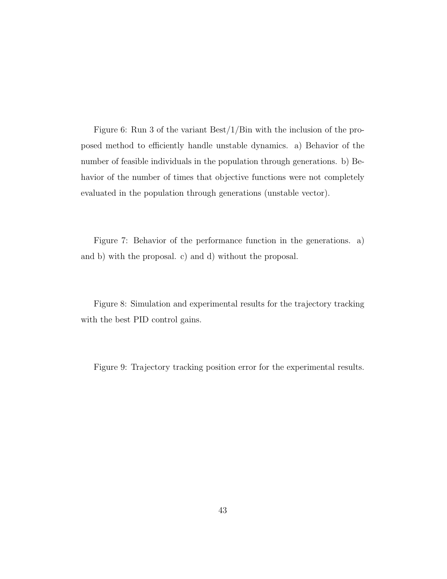Figure 6: Run 3 of the variant Best/1/Bin with the inclusion of the proposed method to efficiently handle unstable dynamics. a) Behavior of the number of feasible individuals in the population through generations. b) Behavior of the number of times that objective functions were not completely evaluated in the population through generations (unstable vector).

Figure 7: Behavior of the performance function in the generations. a) and b) with the proposal. c) and d) without the proposal.

Figure 8: Simulation and experimental results for the trajectory tracking with the best PID control gains.

Figure 9: Trajectory tracking position error for the experimental results.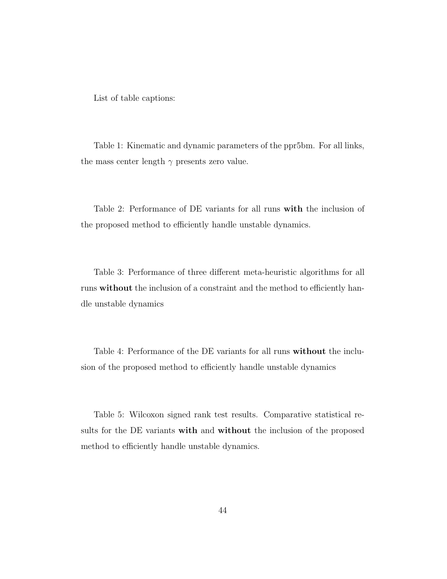List of table captions:

Table 1: Kinematic and dynamic parameters of the ppr5bm. For all links, the mass center length  $\gamma$  presents zero value.

Table 2: Performance of DE variants for all runs **with** the inclusion of the proposed method to efficiently handle unstable dynamics.

Table 3: Performance of three different meta-heuristic algorithms for all runs **without** the inclusion of a constraint and the method to efficiently handle unstable dynamics

Table 4: Performance of the DE variants for all runs **without** the inclusion of the proposed method to efficiently handle unstable dynamics

Table 5: Wilcoxon signed rank test results. Comparative statistical results for the DE variants **with** and **without** the inclusion of the proposed method to efficiently handle unstable dynamics.